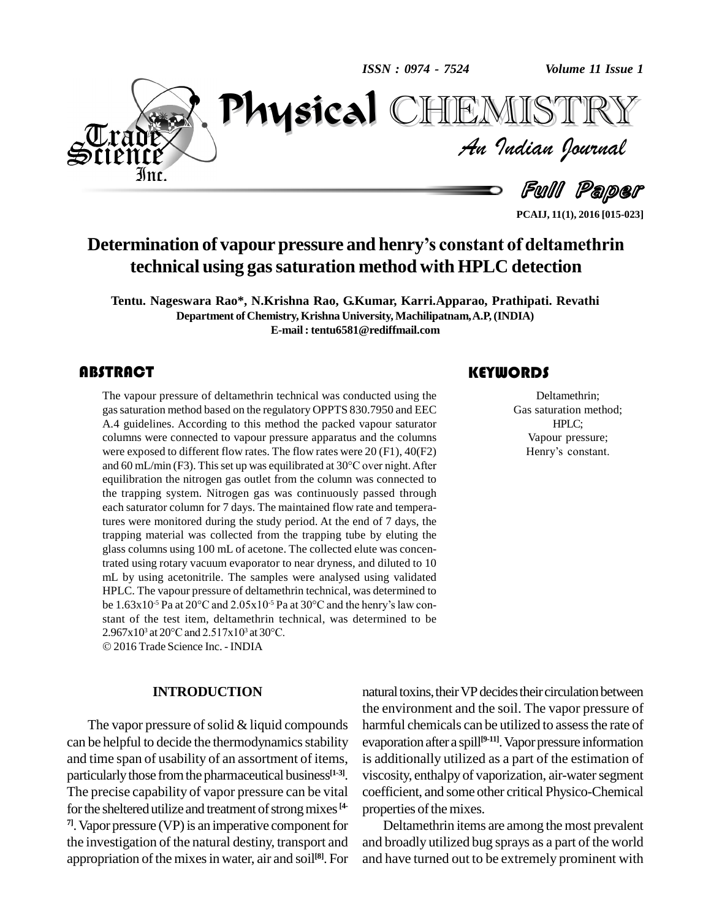*ISSN : 0974 - 7524*

*Volume 11 Issue 1*<br>VIISTRY<br>*Indian Iournal Volume 11 Issue 1*



Full Paper

TEMISTR

**PCAIJ, 11(1), 2016 [015-023]**

## **Determination of vapour pressure and henryís constant of deltamethrin technical using gassaturation method with HPLC detection**

**Tentu. Nageswara Rao\*, N.Krishna Rao, G.Kumar, Karri.Apparao, Prathipati. Revathi Department of Chemistry, Krishna University, Machilipatnam,A.P,(INDIA) E-mail : [tentu6581@rediffmail.com](mailto:tentu6581@rediffmail.com)**

### **ABSTRACT**

The vapour pressure of<br>gas saturation method ba<br>A.4 guidelines. Accordi The vapour pressure of deltamethrin technical was conducted using the gassaturation method based on the regulatory OPPTS 830.7950 and EEC A.4 guidelines. According to this method the packed vapour saturator columns were connected to vapour pressure apparatus and the columns were exposed to different flow rates. The flow rates were 20 (F1), 40(F2) and 60 mL/min (F3). This set up was equilibrated at  $30^{\circ}$ C over night. After equilibration the nitrogen gas outlet from the column was connected to the trapping system. Nitrogen gas was continuously passed through each saturator column for 7 days. The maintained flow rate and temperatures were monitored during the study period. At the end of 7 days, the trapping material was collected from the trapping tube by eluting the glass columns using 100 mL of acetone. The collected elute was concentrated using rotary vacuum evaporator to near dryness, and diluted to 10 mL by using acetonitrile. The samples were analysed using validated<br>HPLC. The vapour pressure of deltamethrin technical, was determined to<br>be 1.63x10<sup>-5</sup> Pa at 20°C and 2.05x10<sup>-5</sup> Pa at 30°C and the henry's law con-HPLC. The vapour pressure of deltamethrin technical, was determined to be  $1.63 \times 10^{-5}$  Pa at  $20^{\circ}$ C and  $2.05 \times 10^{-5}$  Pa at  $30^{\circ}$ C and the henry's law constant of the test item, deltamethrin technical, was determined to be 2.967x10<sup>3</sup> at 20 $^{\circ}$ C and 2.517x10<sup>3</sup> at 30 $^{\circ}$ C. be  $1.63 \times 10^{-5}$  Pa at  $20^{\circ}$ C and  $2.05 \times 10^{-5}$  Pa at 3<br>stant of the test item, deltamethrin techni<br> $2.967 \times 10^{3}$  at  $20^{\circ}$ C and  $2.517 \times 10^{3}$  at  $30^{\circ}$ C.

2016Trade Science Inc. - INDIA

### **INTRODUCTION**

The vapor pressure of solid  $&$  liquid compounds can be helpful to decide the thermodynamics stability and time span of usability of an assortment of items, particularly those from the pharmaceutical business<sup>[1-3]</sup>. vi The precise capability of vapor pressure can be vital for the sheltered utilize and treatment of strong mixes <sup>[4-</sup> pro <sup>71</sup>. Vapor pressure (VP) is an imperative component for the investigation of the natural destiny, transport and appropriation of the mixes in water, air and soil<sup>[8]</sup>. For and

### **KEYWORDS**

Deltamethrin;<br>Gas saturation me<br>HPLC; Deltamethrin; Gas saturation method; HPLC; Vapour pressure; Henry's constant.

natural toxins, their VP decides their circulation between the environment and the soil. The vapor pressure of harmful chemicals can be utilized to assess the rate of evaporation after a spill **[9-11]**.Vaporpressure information is additionally utilized as a part of the estimation of viscosity, enthalpy of vaporization, air-water segment coefficient, and some other critical Physico-Chemical properties of the mixes.

Deltamethrin items are among the most prevalent and broadly utilized bug sprays as a part of the world and have turned out to be extremely prominent with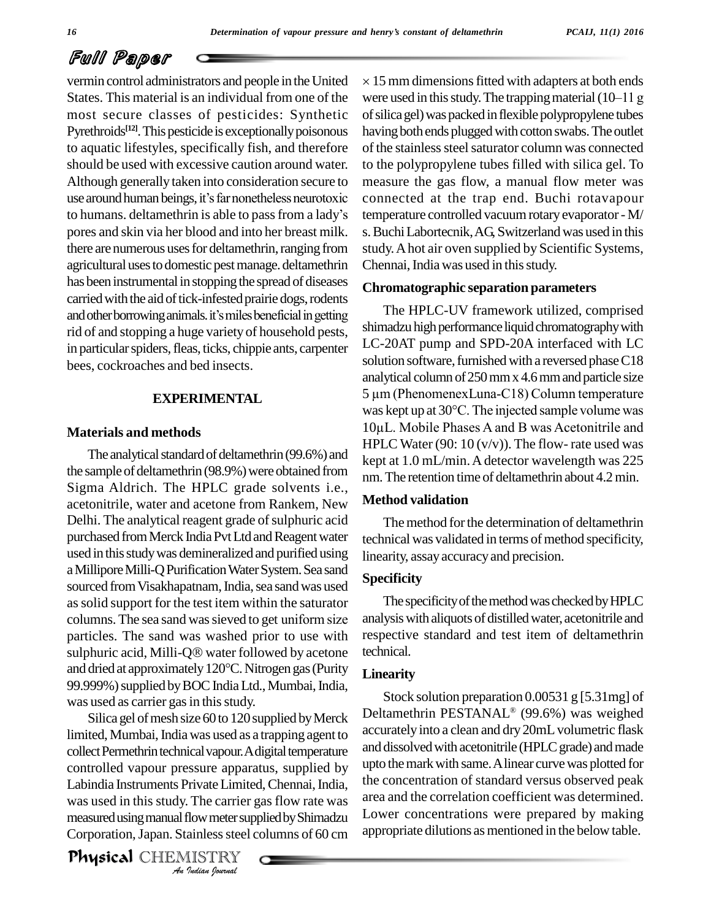vermin control administrators and people in the United States. This material is an individual from one of the most secure classes of pesticides: Synthetic Pyrethroids<sup>[12]</sup>. This pesticide is exceptionally poisonous havin to aquatic lifestyles, specifically fish, and therefore should be used with excessive caution around water. Although generally taken into consideration secure to should be used with excessive caution around water. to the<br>Although generally taken into consideration secure to measuse around human beings, it's far nonetheless neurotoxic conne Although generally taken into consideration secure to measuse around human beings, it's far nonetheless neurotoxic contro humans. deltamethrin is able to pass from a lady's temp pores and skin via her blood and into her breast milk. there are numerous uses for deltamethrin, ranging from agricultural uses to domestic pest manage. deltamethrin has been instrumental in stopping the spread of diseases carried with the aid of tick-infested prairie dogs, rodents and other borrowing animals. it's miles beneficial in getting rid of and stopping a huge variety of household pests, in particular spiders, fleas, ticks, chippie ants, carpenter bees, cockroaches and bed insects.

### **EXPERIMENTAL**

### **Materials and methods**

The analytical standard of deltamethrin (99.6%) and the sample of deltamethrin (98.9%) were obtained from Sigma Aldrich. The HPLC grade solvents i.e., acetonitrile, water and acetone from Rankem, New Delhi. The analytical reagent grade of sulphuric acid purchased from Merck India Pvt Ltd and Reagent water used inthisstudywas demineralized and purified using a Millipore Milli-Q Purification Water System. Sea sand sourced from Visakhapatnam, India, sea sand was used assolid support for the test item within the saturator columns. The sea sand was sieved to get uniform size particles. The sand was washed prior to use with columns. The sea sand was sieved to get uniform size analys<br>particles. The sand was washed prior to use with respect<br>sulphuric acid, Milli-Q® water followed by acetone techni particles. The sand was washed prior to use with respect<br>sulphuric acid, Milli-Q® water followed by acetone technic<br>and dried at approximately 120°C. Nitrogen gas (Purity Inear 99.999%) supplied by BOC India Ltd., Mumbai, India, was used as carrier gas in this study.

controlled vapour pressure apparatus, supplied by upto the *Invate Limite*<br>*Invate Limite*<br>*Indian Indian*<br>*IISTRY*<br>*Indian Iournal* Silica gel of mesh size 60 to 120 supplied by Merck limited, Mumbai, India was used as a trapping agent to collect Permethrin technical vapour. A digital temperature Labindia Instruments Private Limited, Chennai, India, was used in this study. The carrier gas flow rate was area measured using manual flow meter supplied by Shimadzu Corporation, Japan. Stainless steel columns of 60 cm

**Physical** CHEMISTRY

 $\times$  15 mm dimensions fitted with adapters at both ends were used in this study. The trapping material  $(10-11)$  g of silica gel) was packed in flexible polypropylene tubes having both ends plugged with cotton swabs. The outlet of the stainless steel saturator column was connected to the polypropylene tubes filled with silica gel. To measure the gas flow, a manual flow meter was connected at the trap end. Buchi rotavapour temperature controlled vacuumrotaryevaporator-M/ s. Buchi Labortecnik, AG, Switzerland was used in this study.Ahot air oven supplied by Scientific Systems, Chennai, India was used in this study.

### **Chromatographic separation parameters**

The HPLC-UV framework utilized, comprised shimadzu high performance liquid chromatography with LC-20AT pump and SPD-20A interfaced with LC solution software, furnished with a reversed phase C18<br>analytical column of 250 mm x 4.6 mm and particle size<br>5 µm (PhenomenexLuna-C18) Column temperature analytical column of 250 mm x 4.6 mm and particle size<br>5 µm (PhenomenexLuna-C18) Column temperature<br>was kept up at 30°C. The injected sample volume was 5  $\mu$ m (PhenomenexLuna-C18) Column temperature<br>was kept up at 30°C. The injected sample volume was<br>10 $\mu$ L. Mobile Phases A and B was Acetonitrile and HPLC Water (90: 10  $(v/v)$ ). The flow-rate used was kept at 1.0 mL/min. A detector wavelength was 225 nm.The retention time of deltamethrin about 4.2min.

### **Method validation**

The method for the determination of deltamethrin technical was validated in terms of method specificity, linearity, assayaccuracyand precision.

### **Specificity**

The specificity of the method was checked by HPLC analysiswith aliquots of distilledwater, acetonitrile and respective standard and test item of deltamethrin technical.

### **Linearity**

Stock solution preparation 0.00531 g [5.31mg] of Deltamethrin PESTANAL (99.6%) was weighed accurately into a clean and dry 20mL volumetric flask and dissolved with acetonitrile (HPLC grade) and made upto the mark with same. A linear curve was plotted for the concentration of standard versus observed peak area and the correlation coefficient was determined. Lower concentrations were prepared by making appropriate dilutions as mentioned in the below table.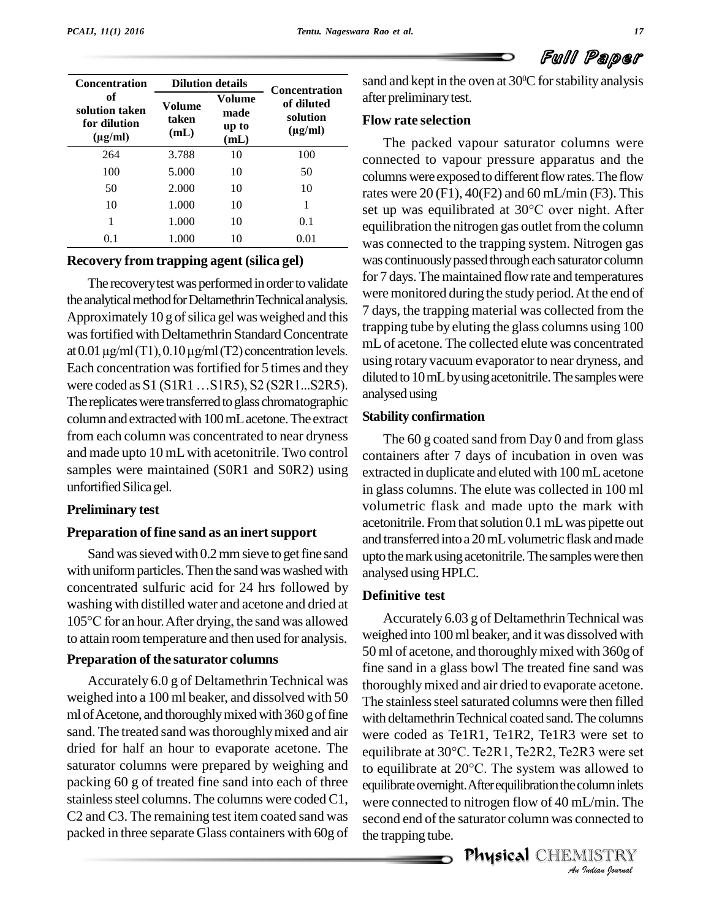| <b>Concentration</b>                                 |                         | <b>Dilution details</b>         | <b>Concentration</b>                   |
|------------------------------------------------------|-------------------------|---------------------------------|----------------------------------------|
| оf<br>solution taken<br>for dilution<br>$(\mu g/ml)$ | Volume<br>taken<br>(mL) | Volume<br>made<br>up to<br>(mL) | of diluted<br>solution<br>$(\mu g/ml)$ |
| 264                                                  | 3.788                   | 10                              | 100                                    |
| 100                                                  | 5.000                   | 10                              | 50                                     |
| 50                                                   | 2.000                   | 10                              | 10                                     |
| 10                                                   | 1.000                   | 10                              | 1                                      |
| 1                                                    | 1.000                   | 10                              | 0.1                                    |
| $0.1\,$                                              | 1.000                   | 10                              | 0.01                                   |

### **Recovery from trapping agent (silica gel)**

The recovery test was performed in order to validate the analytical method for Deltamethrin Technical analysis. Approximately 10 g of silica gel was weighed and this<br>was fortified with Deltamethrin Standard Concentrate<br>at 0.01  $\mu$ g/ml (T1), 0.10  $\mu$ g/ml (T2) concentration levels. was fortified with Deltamethrin Standard Concentrate Each concentration was fortified for 5 times and they  $\frac{\text{using } \mu}{\text{triangle } \text{triangle}}$ at 0.01  $\mu$ g/ml (T1), 0.10  $\mu$ g/ml (T2) concentration levels.<br>Each concentration was fortified for 5 times and they<br>were coded as S1 (S1R1 ...S1R5), S2 (S2R1...S2R5). The replicates were transferred to glass chromatographic column andextractedwith 100mLacetone.The extract from each column was concentrated to near dryness and made upto 10 mLwith acetonitrile. Two control samples were maintained (S0R1 and S0R2) using unfortified Silica gel.

### **Preliminary test**

### **Preparation of fine sand as an inertsupport**

Sand was sieved with 0.2 mm sieve to get fine sand with uniform particles. Then the sand was washed with concentrated sulfuric acid for 24 hrs followed by washing with distilled water and acetone and dried at concentrated sulfuric acid for 24 hrs followed by<br>washing with distilled water and acetone and dried at<br>105°C for an hour. After drying, the sand was allowed Ac to attain room temperature and then used for analysis.

### **Preparation of the saturator columns**

Accurately 6.0 g of Deltamethrin Technical was weighed into a 100 ml beaker, and dissolved with 50 ml of Acetone, and thoroughly mixed with 360 g of fine sand. The treated sand was thoroughly mixed and air dried for half an hour to evaporate acetone. The equilibrate at 30°C. Te2R1, Te2R2, Te2R3 were set saturator columns were prepared by weighing and packing 60 g of treated fine sand into each of three stainless steel columns. The columns were coded C1, C2 and C3. The remaining test item coated sand was packed in three separate Glass containers with 60g of

sand and kept in the oven at  $30^{\rm o}{\rm C}$  for stability analysis **Concentration**<br>
of diluted after preliminary test.

### **Flow rate selection solution**

The packed vapour saturator columns were connected to vapour pressure apparatus and the columns were exposed to different flow rates. The flow rates were 20 (F1), 40(F2) and 60 mL/min (F3). This columns were exposed to different flow rates. The flow<br>rates were 20 (F1), 40(F2) and 60 mL/min (F3). This<br>set up was equilibrated at 30°C over night. After equilibration the nitrogen gas outlet from the column was connected to the trapping system. Nitrogen gas was continuously passed through each saturator column for 7 days. The maintained flowrate and temperatures were monitored during the study period.At the end of 7 days, the trapping material was collected from the trapping tube by eluting the glass columns using 100 mL of acetone. The collected elute was concentrated using rotary vacuum evaporator to near dryness, and diluted to 10 mL by using acetonitrile. The samples were analysedusing

### **Stability confirmation**

The 60 g coated sand from Day 0 and from glass containers after 7 days of incubation in oven was extracted in duplicate and eluted with 100mLacetone in glass columns. The elute was collected in 100 ml volumetric flask and made upto the mark with acetonitrile. From that solution 0.1 mL was pipette out and transferred intoa 20mLvolumetric flask andmade upto the mark using acetonitrile. The samples were then analysed using HPLC.

### **Definitive test**

to equilibrate at 20°C. The system was allowed to *Indian*<br>*Imin*. The<br>*Indian Journal*<br>*IISTRY* Accurately 6.03 g of Deltamethrin Technical was weighed into 100ml beaker, and itwas dissolved with 50 ml of acetone, and thoroughlymixed with 360g of fine sand in a glass bowl The treated fine sand was thoroughly mixed and air dried to evaporate acetone. The stainless steel saturated columns were then filled with deltamethrin Technical coated sand. The columns were coded as Te1R1, Te1R2, Te1R3 were set to with deltamethrin Technical coated sand. The columns<br>were coded as Te1R1, Te1R2, Te1R3 were set to<br>equilibrate at 30°C. Te2R1, Te2R2, Te2R3 were set were coded as Te1R1, Te1R2, Te1R3 were set to<br>equilibrate at 30°C. Te2R1, Te2R2, Te2R3 were set<br>to equilibrate at 20°C. The system was allowed to equilibrate overnight. After equilibration the column inlets were connected to nitrogen flow of 40 mL/min. The second end of the saturator column was connected to the trapping tube.

Physical CHEMISTRY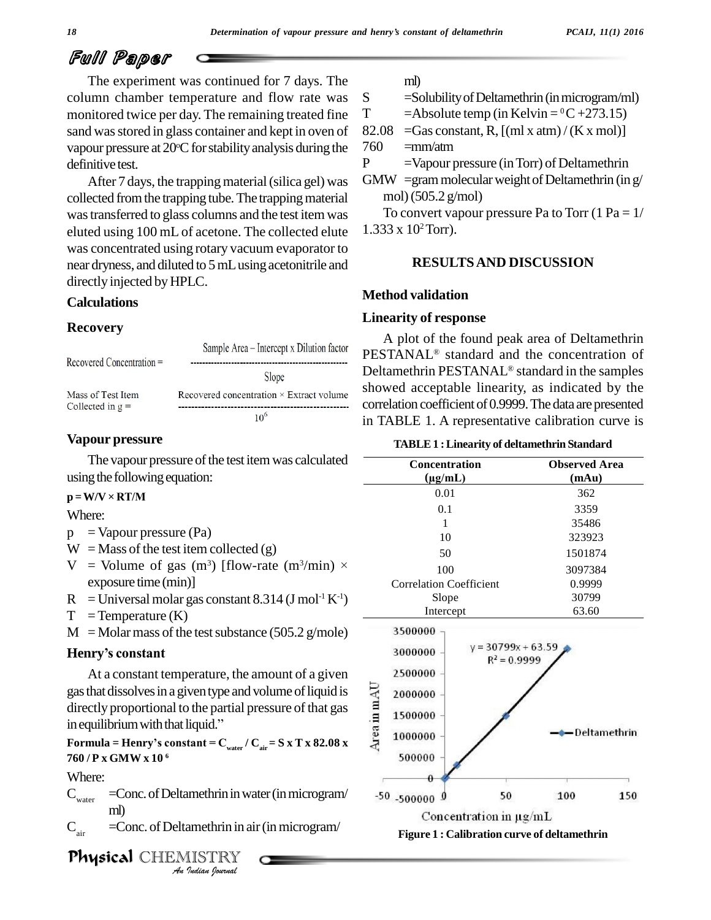The experiment was continued for 7 days. The column chamber temperature and flow rate was S monitored twice per day. The remaining treated fine T sand was stored in glass container and kept in oven of 82.08 vapour pressure at 20°C for stability analysis during the 760 definitive test.

After 7 days, the trapping material (silica gel) was collected from the trapping tube. The trapping material wastransferred to glass columns and the test itemwas eluted using 100 mL of acetone. The collected elute was concentrated using rotary vacuum evaporator to near dryness, and diluted to 5mLusingacetonitrile and directly injected byHPLC.

### **Calculations**

### **Recovery**

| Recovered Concentration =               | Sample Area – Intercept x Dilution factor       |
|-----------------------------------------|-------------------------------------------------|
|                                         | Slope                                           |
| Mass of Test Item<br>Collected in $g =$ | Recovered concentration $\times$ Extract volume |
|                                         | 10 <sup>6</sup>                                 |

### **Vapour pressure**

The vapour pressure of the test item was calculated  $\frac{1}{100}$  the following equation:<br> $\mathbf{p} = \mathbf{W}/\mathbf{V} \times \mathbf{R} \mathbf{T}/\mathbf{M}$ 

Where:

- $p =$ Vapour pressure (Pa)
- $W =$ Mass of the test item collected (g)
- p = Vapour pressure (Pa)<br>W = Mass of the test item collected (g)<br>V = Volume of gas (m<sup>3</sup>) [flow-rate (m<sup>3</sup>/min) × exposure time (min)]
- $R =$ Universal molar gas constant 8.314 (J mol<sup>-1</sup> K<sup>-1</sup>)
- $T = T$ emperature  $(K)$
- $M =$ Molar mass of the test substance (505.2 g/mole) **Henry** = Temperature (K)<br>**M** = Molar mass of the to<br>**Henry's constant**

At a constant temperature, the amount of a given<br>that dissolves in a given type and volume of liquid is<br>cetly proportional to the partial pressure of that gas<br>quilibrium with that liquid."<br>mula = Henry's constant =  $C_{\text{$ gas that dissolves in a given type and volume of liquid is<br>directly proportional to the partial pressure of that gas<br>in equilibrium with that liquid." directly proportional to the partial pressure of that gas in equilibrium with that liquid."<br>**Formula = Henry's** constant =  $C_{\text{water}} / C_{\text{air}} = S \times T \times 82.08 \times T$ 

**760 / P x GMW x 10 6**

Where:

**Independent in the State of Texas**<br>*I*<br>*Indian Iournal*  $C_{\text{water}}$  =Conc. of Deltamethrin in water (in microgram/ ml)

 $C_{\text{air}}$  =Conc. of Deltamethrin in air (in microgram/

Physical CHEMISTRY

ml)

 $=$ Solubility of Deltamethrin (in microgram/ml)

T  $=\text{Absolute temp (in Kelvin} = {}^{0}C+273.15)$ 

 $=$ Gas constant, R,  $[(ml x atm)/(K x mol)]$ 

 $760$  =mm/atm

P =Vapour pressure (in Torr) of Deltamethrin

GMW = gram molecular weight of Deltamethrin (in  $g/$ mol)(505.2 g/mol)

To convert vapour pressure Pa to Torr  $(1 Pa = 1/$  $1.333 \times 10^2$  Torr).

### **RESULTSAND DISCUSSION**

### **Method validation**

### **Linearity of response**

A plot of the found peak area of Deltamethrin ÆPESTANAL<sup>®</sup> standard and the concentration of Deltamethrin PESTANAL<sup>®</sup> standard in the samples showed acceptable linearity, as indicated by the correlation coefficient of 0.9999. The data are presented in TABLE 1. A representative calibration curve is

| <b>TABLE 1: Linearity of deltamethrin Standard</b> |                               |  |  |  |
|----------------------------------------------------|-------------------------------|--|--|--|
| <b>Concentration</b><br>$(\mu g/mL)$               | <b>Observed Area</b><br>(mAu) |  |  |  |
| 0.01                                               | 362                           |  |  |  |
| 0.1                                                | 3359                          |  |  |  |
| 1                                                  | 35486                         |  |  |  |
| 10                                                 | 323923                        |  |  |  |
| 50                                                 | 1501874                       |  |  |  |
| 100                                                | 3097384                       |  |  |  |
| <b>Correlation Coefficient</b>                     | 0.9999                        |  |  |  |
| Slope                                              | 30799                         |  |  |  |
| Intercept                                          | 63.60                         |  |  |  |



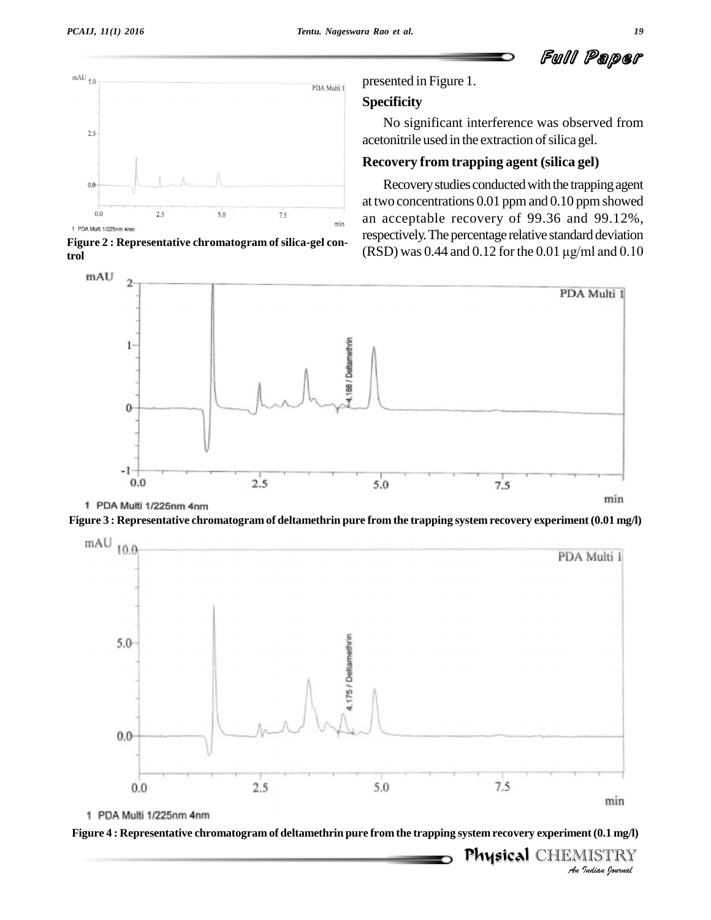Ful Paper



**Figure 2 : Representative chromatogram of silica-gel control**

presented in Figure 1.

### **Specificity**

No significant interference was observed from acetonitrile used in the extraction of silica gel.

### **Recovery from trapping agent (silica gel)**

Recovery studies conducted with the trapping agent at two concentrations  $0.01$  ppm and  $0.10$  ppm showed an acceptable recovery of 99.36 and 99.12%,<br>respectively. The percentage relative standard deviation<br>(RSD) was 0.44 and 0.12 for the 0.01  $\mu$ g/ml and 0.10 respectively.The percentage relative standard deviation



1 PDA Multi 1/225nm 4nm





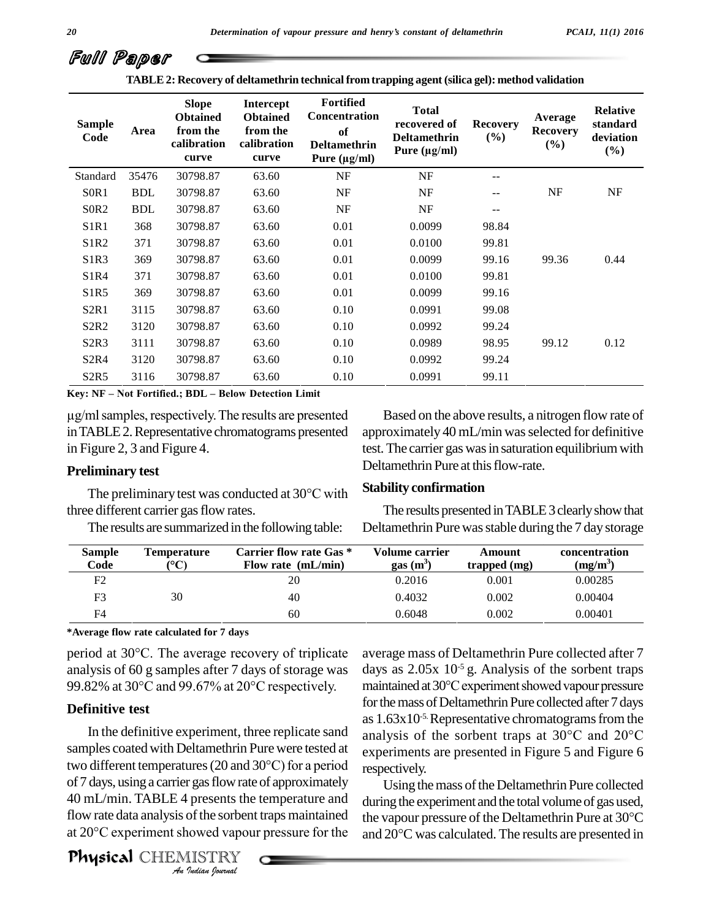**TABLE2: Recovery of deltamethrin technical fromtrapping agent (silica gel): method validation**

| <b>Sample</b><br>Code         | Area       | <b>Slope</b><br><b>Obtained</b><br>from the<br>calibration<br>curve | Intercept<br><b>Obtained</b><br>from the<br>calibration<br>curve | <b>Fortified</b><br><b>Concentration</b><br>of<br><b>Deltamethrin</b><br>Pure $(\mu g/ml)$ | <b>Total</b><br>recovered of<br><b>Deltamethrin</b><br>Pure $(\mu g/ml)$ | <b>Recovery</b><br>(%) | Average<br><b>Recovery</b><br>$(\%)$ | <b>Relative</b><br>standard<br>deviation<br>$(\%)$ |
|-------------------------------|------------|---------------------------------------------------------------------|------------------------------------------------------------------|--------------------------------------------------------------------------------------------|--------------------------------------------------------------------------|------------------------|--------------------------------------|----------------------------------------------------|
| Standard                      | 35476      | 30798.87                                                            | 63.60                                                            | NF                                                                                         | NF                                                                       | $-1$                   |                                      |                                                    |
| S <sub>0</sub> R <sub>1</sub> | <b>BDL</b> | 30798.87                                                            | 63.60                                                            | NF                                                                                         | NF                                                                       |                        | NF                                   | NF                                                 |
| S <sub>0</sub> R <sub>2</sub> | <b>BDL</b> | 30798.87                                                            | 63.60                                                            | NF                                                                                         | NF                                                                       | --                     |                                      |                                                    |
| S <sub>1</sub> R <sub>1</sub> | 368        | 30798.87                                                            | 63.60                                                            | 0.01                                                                                       | 0.0099                                                                   | 98.84                  |                                      |                                                    |
| S <sub>1</sub> R <sub>2</sub> | 371        | 30798.87                                                            | 63.60                                                            | 0.01                                                                                       | 0.0100                                                                   | 99.81                  |                                      |                                                    |
| S <sub>1</sub> R <sub>3</sub> | 369        | 30798.87                                                            | 63.60                                                            | 0.01                                                                                       | 0.0099                                                                   | 99.16                  | 99.36                                | 0.44                                               |
| S1R4                          | 371        | 30798.87                                                            | 63.60                                                            | 0.01                                                                                       | 0.0100                                                                   | 99.81                  |                                      |                                                    |
| S <sub>1</sub> R <sub>5</sub> | 369        | 30798.87                                                            | 63.60                                                            | 0.01                                                                                       | 0.0099                                                                   | 99.16                  |                                      |                                                    |
| S <sub>2</sub> R <sub>1</sub> | 3115       | 30798.87                                                            | 63.60                                                            | 0.10                                                                                       | 0.0991                                                                   | 99.08                  |                                      |                                                    |
| S <sub>2</sub> R <sub>2</sub> | 3120       | 30798.87                                                            | 63.60                                                            | 0.10                                                                                       | 0.0992                                                                   | 99.24                  |                                      |                                                    |
| S <sub>2</sub> R <sub>3</sub> | 3111       | 30798.87                                                            | 63.60                                                            | 0.10                                                                                       | 0.0989                                                                   | 98.95                  | 99.12                                | 0.12                                               |
| S <sub>2</sub> R <sub>4</sub> | 3120       | 30798.87                                                            | 63.60                                                            | 0.10                                                                                       | 0.0992                                                                   | 99.24                  |                                      |                                                    |
| S <sub>2</sub> R <sub>5</sub> | 3116       | 30798.87                                                            | 63.60                                                            | 0.10                                                                                       | 0.0991                                                                   | 99.11                  |                                      |                                                    |

**Key: NF** – Not Fortified.; **BDL** – Below Detection Limit

 $\mu$ g/ml samples, respectively. The results are presented inTABLE2.Representative chromatograms presented in Figure 2, 3 and Figure 4.

### **Preliminary test**

The preliminary test was conducted at <sup>30</sup>°C with three different carrier gas flow rates.

The results are summarized in the following table:

Based on the above results, a nitrogen flow rate of approximately 40 mL/min was selected for definitive test. The carrier gas was in saturation equilibrium with Deltamethrin Pure at this flow-rate.

### **Stability confirmation**

The results presented in TABLE 3 clearly show that Deltamethrin Pure was stable during the 7 day storage

| <b>Sample</b><br>Code | Temperature<br>$\rm ^{\circ}C$ | Carrier flow rate Gas *<br>Flow rate $(mL/min)$ | <b>Volume carrier</b><br>$gas(m^3)$ | Amount<br>trapped $(mg)$ | concentration<br>$(mg/m^3)$ |
|-----------------------|--------------------------------|-------------------------------------------------|-------------------------------------|--------------------------|-----------------------------|
| F2                    |                                | 20                                              | 0.2016                              | 0.001                    | 0.00285                     |
| F3                    | 30                             | 40                                              | 0.4032                              | 0.002                    | 0.00404                     |
| F4                    |                                | 60                                              | 0.6048                              | 0.002                    | 0.00401                     |

**\*Average flow ratecalculated for 7 days**

period at <sup>30</sup>°C. The average recovery of triplicate analysis of 60 g samples after 7 days of storage was period at 30°C. The average recovery of triplicate<br>analysis of 60 g samples after 7 days of storage was<br>99.82% at 30°C and 99.67% at 20°C respectively.

### **Definitive test**

two different temperatures (20 and  $30^{\circ}$ C) for a period *Indian*<br>*Indian*<br>*Indian*<br>*I*<br>*Indian bouwad*<br>*Indian bouwad* samples coated with Deltamethrin Pure were tested at expe In the definitive experiment, three replicate sand<br>samples coated with Deltamethrin Pure were tested at<br>two different temperatures (20 and  $30^{\circ}$ C) for a period<br>respect of 7 days, using a carrier gas flow rate of approximately 40 mL/min. TABLE 4 presents the temperature and<br>flow rate data analysis of the sorbent traps maintained the vap<br>at 20°C experiment showed vapour pressure for the and 20° flow rate data analysis of the sorbent traps maintained the vapour pressure of the Deltamethrin Pure at  $30^{\circ}$ C

Physical CHEMISTRY

In the definitive experiment, three replicate sand analysis of the sorbent traps at  $30^{\circ}$ C and  $20^{\circ}$ C average mass of Deltamethrin Pure collected after 7 days as  $2.05x$   $10^{-5}$  g. Analysis of the sorbent traps maintained at 30°C experiment showed vapour pressure for the mass of Deltamethrin Pure collected after 7 days<br>as  $1.63 \times 10^{-5}$ . Representative chromatograms from the<br>analysis of the sorbent traps at 30°C and 20°C as  $1.63x10^{-5}$ . Representative chromatograms from the experiments are presented in Figure 5 and Figure 6 respectively.

> Using the mass of the Deltamethrin Pure collected during the experiment and the total volume of gas used, Using the mass of the Deltamethrin Pure collected<br>during the experiment and the total volume of gas used,<br>the vapour pressure of the Deltamethrin Pure at 30°C during the experiment and the total volume of gas used,<br>the vapour pressure of the Deltamethrin Pure at 30°C<br>and 20°C was calculated. The results are presented in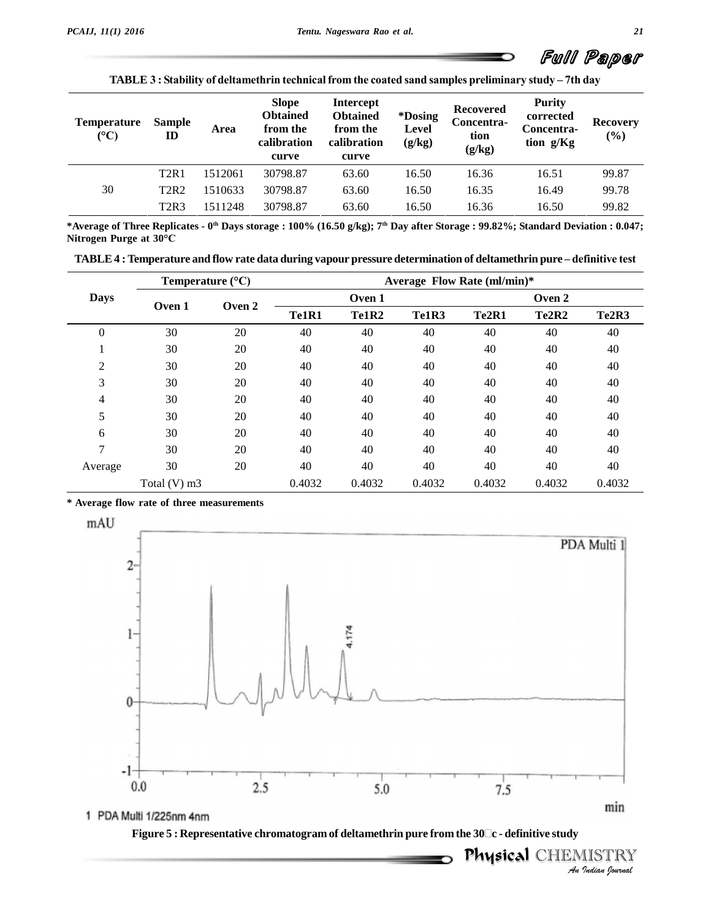

**TABLE <sup>3</sup> : Stability of deltamethrin technicalfrom the coated sand samples preliminary study <sup>ñ</sup> 7th day**

| <b>Temperature</b><br>$({}^{\circ}C)$ | <b>Sample</b><br>ID           | Area    | <b>Slope</b><br><b>Obtained</b><br>from the<br>calibration<br>curve | <b>Intercept</b><br><b>Obtained</b><br>from the<br>calibration<br>curve | <i>*Dosing</i><br><b>Level</b><br>(g/kg) | <b>Recovered</b><br>Concentra-<br>tion<br>(g/kg) | <b>Purity</b><br>corrected<br>Concentra-<br>tion g/Kg | <b>Recovery</b><br>(%) |
|---------------------------------------|-------------------------------|---------|---------------------------------------------------------------------|-------------------------------------------------------------------------|------------------------------------------|--------------------------------------------------|-------------------------------------------------------|------------------------|
|                                       | T <sub>2R1</sub>              | 1512061 | 30798.87                                                            | 63.60                                                                   | 16.50                                    | 16.36                                            | 16.51                                                 | 99.87                  |
| 30                                    | <b>T2R2</b>                   | 1510633 | 30798.87                                                            | 63.60                                                                   | 16.50                                    | 16.35                                            | 16.49                                                 | 99.78                  |
|                                       | T <sub>2</sub> R <sub>3</sub> | 1511248 | 30798.87                                                            | 63.60                                                                   | 16.50                                    | 16.36                                            | 16.50                                                 | 99.82                  |

\*Average of Three Replicates - 0th Days storage : 100% (16.50 g/kg); 7th Day after Storage : 99.82%; Standard Deviation : 0.047; **Rightarrow COVE 12KS 13112**<br> **Nitrogen Purge at 30<sup>o</sup>C** Average or Three Replicates - 0''' Days storage : 100% (16.50 g/kg); 7''' Day after Storage : 99.82%; Standard Deviation : 0.047;<br>itrogen Purge at 30°C<br>TABLE 4 : Temperature and flow rate data during vapour pressure determ

|  | TABLE 4 : Temperature and flow rate data during vapour pressure determination of deltamethrin pure – definitive test |  |
|--|----------------------------------------------------------------------------------------------------------------------|--|
|--|----------------------------------------------------------------------------------------------------------------------|--|

|                |              | Temperature $(^{\circ}C)$ |        |        |        | Average Flow Rate (ml/min)* |        |                                |
|----------------|--------------|---------------------------|--------|--------|--------|-----------------------------|--------|--------------------------------|
| <b>Days</b>    |              |                           |        | Oven 1 |        |                             | Oven 2 |                                |
|                | Oven 1       | Oven 2                    | Te1R1  | Te1R2  | Te1R3  | Te <sub>2R1</sub>           | Te2R2  | Te <sub>2</sub> R <sub>3</sub> |
| $\overline{0}$ | 30           | 20                        | 40     | 40     | 40     | 40                          | 40     | 40                             |
| Ŧ.             | 30           | 20                        | 40     | 40     | 40     | 40                          | 40     | 40                             |
| $\overline{c}$ | 30           | 20                        | 40     | 40     | 40     | 40                          | 40     | 40                             |
| 3              | 30           | 20                        | 40     | 40     | 40     | 40                          | 40     | 40                             |
| 4              | 30           | 20                        | 40     | 40     | 40     | 40                          | 40     | 40                             |
| 5              | 30           | 20                        | 40     | 40     | 40     | 40                          | 40     | 40                             |
| 6              | 30           | 20                        | 40     | 40     | 40     | 40                          | 40     | 40                             |
| 7              | 30           | 20                        | 40     | 40     | 40     | 40                          | 40     | 40                             |
| Average        | 30           | 20                        | 40     | 40     | 40     | 40                          | 40     | 40                             |
|                | Total (V) m3 |                           | 0.4032 | 0.4032 | 0.4032 | 0.4032                      | 0.4032 | 0.4032                         |

**\* Average flow rateof three measurements**



politicaal CHEMISTRY<br>Physical CHEMISTRY **Figure <sup>5</sup> : Representative chromatogram of deltamethrin pure from the <sup>30</sup><sup>c</sup> - definitive study**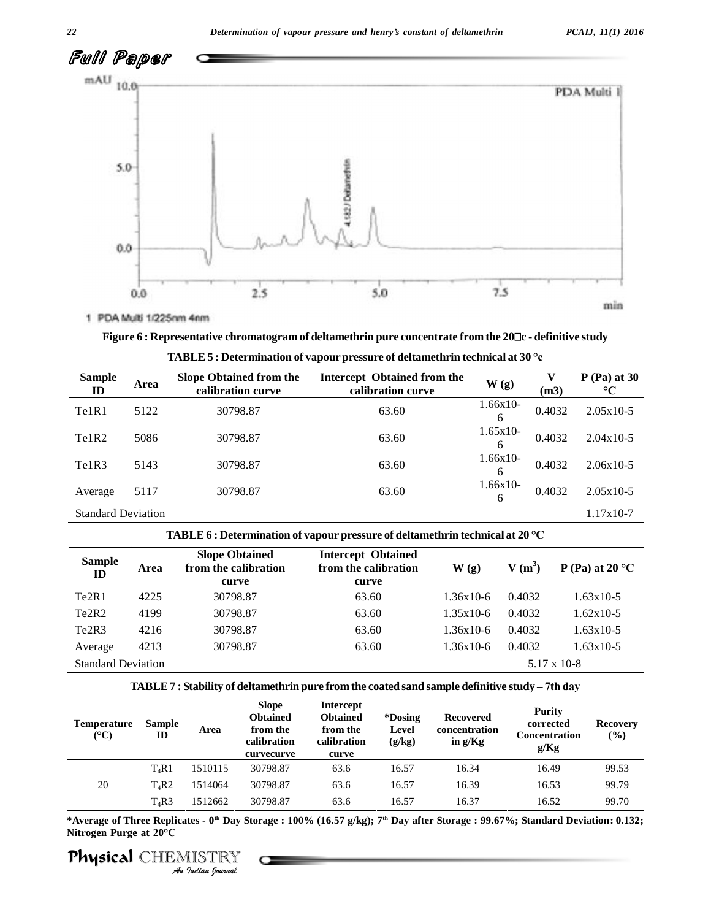

# **Figure <sup>6</sup> : Representative chromatogram of deltamethrin pure concentrate from the <sup>20</sup><sup>c</sup> - definitive study TABLE <sup>5</sup> : Determination of vapour pressure of deltamethrin technical at <sup>30</sup> °c**

| <b>Sample</b><br>ID            | Area | <b>Slope Obtained from the</b><br>calibration curve | <b>Intercept Obtained from the</b><br>calibration curve | W(g)            | (m3)   | $P$ (Pa) at 30<br>$\rm ^{\circ}C$ |
|--------------------------------|------|-----------------------------------------------------|---------------------------------------------------------|-----------------|--------|-----------------------------------|
| Te1R1                          | 5122 | 30798.87                                            | 63.60                                                   | $1.66x10-$<br>6 | 0.4032 | $2.05x10-5$                       |
| Te <sub>1</sub> R <sub>2</sub> | 5086 | 30798.87                                            | 63.60                                                   | $1.65x10-$<br>6 | 0.4032 | $2.04x10-5$                       |
| Te1R3                          | 5143 | 30798.87                                            | 63.60                                                   | $1.66x10-$<br>6 | 0.4032 | $2.06x10-5$                       |
| Average                        | 5117 | 30798.87                                            | 63.60                                                   | $1.66x10-$<br>6 | 0.4032 | $2.05x10-5$                       |
| <b>Standard Deviation</b>      |      |                                                     |                                                         |                 |        | $1.17x10-7$                       |

|  |  | $\mathbb A\mathbf B\mathsf L\mathsf E$ 5 : Determination of vapour pressure of deltamethrin technical at 30 $^\circ$ c |  |  |  |  |  |  |  |  |  |  |
|--|--|------------------------------------------------------------------------------------------------------------------------|--|--|--|--|--|--|--|--|--|--|
|--|--|------------------------------------------------------------------------------------------------------------------------|--|--|--|--|--|--|--|--|--|--|

### **TABLE6 : Determination of vapour pressure of deltamethrin technical at <sup>20</sup> °C**

|                                |      | TABLE $\mathfrak b$ : Determination of vapour pressure of deitamethrin technical at 20 $\in$ |                                                            |                          |          |                           |
|--------------------------------|------|----------------------------------------------------------------------------------------------|------------------------------------------------------------|--------------------------|----------|---------------------------|
| <b>Sample</b><br>$\mathbf{D}$  | Area | <b>Slope Obtained</b><br>from the calibration<br>curve                                       | <b>Intercept Obtained</b><br>from the calibration<br>curve | $\mathbf{W}(\mathbf{g})$ | $V(m^3)$ | P (Pa) at 20 $^{\circ}$ C |
| Te <sub>2R1</sub>              | 4225 | 30798.87                                                                                     | 63.60                                                      | $1.36x10-6$              | 0.4032   | 1.63x10-5                 |
| Te <sub>2</sub> R <sub>2</sub> | 4199 | 30798.87                                                                                     | 63.60                                                      | $1.35x10-6$              | 0.4032   | $1.62x10-5$               |
| Te <sub>2</sub> R <sub>3</sub> | 4216 | 30798.87                                                                                     | 63.60                                                      | $1.36x10-6$              | 0.4032   | $1.63x10-5$               |
| Average                        | 4213 | 30798.87                                                                                     | 63.60                                                      | $1.36x10-6$              | 0.4032   | $1.63x10-5$               |
| <b>Standard Deviation</b>      |      |                                                                                              |                                                            |                          |          | $5.17 \times 10-8$        |

### **TABLE7 : Stability of deltamethrin pure from the coated sand sample definitive study <sup>ñ</sup> 7th day**

| <b>Temperature</b><br>$(C^{\circ}C)$ | <b>Sample</b><br>ID | Area    | <b>Slope</b><br><b>Obtained</b><br>from the<br>calibration<br>curvecurve | <b>Intercept</b><br><b>Obtained</b><br>from the<br>calibration<br>curve | *Dosing<br>Level<br>(g/kg) | <b>Recovered</b><br>concentration<br>in $g/Kg$ | Purity<br>corrected<br><b>Concentration</b><br>g/Kg | <b>Recovery</b><br>$($ %) |
|--------------------------------------|---------------------|---------|--------------------------------------------------------------------------|-------------------------------------------------------------------------|----------------------------|------------------------------------------------|-----------------------------------------------------|---------------------------|
|                                      | $T_4R1$             | 1510115 | 30798.87                                                                 | 63.6                                                                    | 16.57                      | 16.34                                          | 16.49                                               | 99.53                     |
| 20                                   | $T_4R2$             | 1514064 | 30798.87                                                                 | 63.6                                                                    | 16.57                      | 16.39                                          | 16.53                                               | 99.79                     |
|                                      | $T_4R3$             | 1512662 | 30798.87                                                                 | 63.6                                                                    | 16.57                      | 16.37                                          | 16.52                                               | 99.70                     |